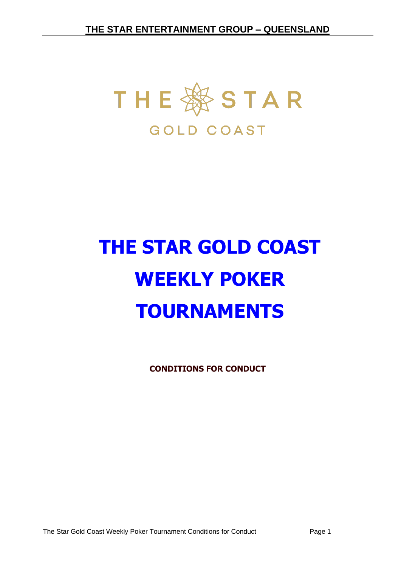

# **THE STAR GOLD COAST WEEKLY POKER TOURNAMENTS**

**CONDITIONS FOR CONDUCT**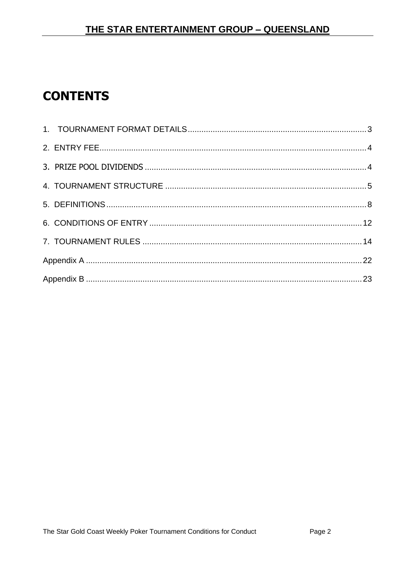# **CONTENTS**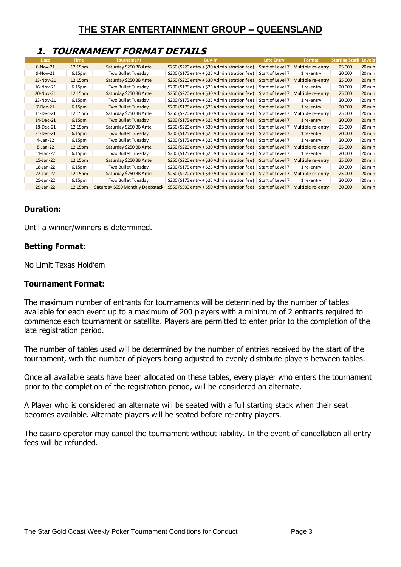# <span id="page-2-0"></span>**1. TOURNAMENT FORMAT DETAILS**

| <b>Date</b>  | Time               | <b>Tournament</b>                | Buy-in                                        | <b>Late Entry</b> | Format            | <b>Starting Stack Levels</b> |                  |
|--------------|--------------------|----------------------------------|-----------------------------------------------|-------------------|-------------------|------------------------------|------------------|
| $6-Nov-21$   | 12.15pm            | Saturday \$250 BB Ante           | \$250 (\$220 entry + \$30 Administration fee) | Start of Level 7  | Multiple re-entry | 25,000                       | 20 min           |
| 9-Nov-21     | 6.15 <sub>pm</sub> | Two Bullet Tuesday               | \$200 (\$175 entry + \$25 Administration fee) | Start of Level 7  | 1 re-entry        | 20,000                       | 20 min           |
| 13-Nov-21    | 12.15pm            | Saturday \$250 BB Ante           | \$250 (\$220 entry + \$30 Administration fee) | Start of Level 7  | Multiple re-entry | 25,000                       | $20 \text{ min}$ |
| 16-Nov-21    | 6.15 <sub>pm</sub> | Two Bullet Tuesday               | \$200 (\$175 entry + \$25 Administration fee) | Start of Level 7  | 1 re-entry        | 20,000                       | 20 min           |
| 20-Nov-21    | 12.15pm            | Saturday \$250 BB Ante           | \$250 (\$220 entry + \$30 Administration fee) | Start of Level 7  | Multiple re-entry | 25,000                       | $20 \text{ min}$ |
| 23-Nov-21    | 6.15 <sub>pm</sub> | Two Bullet Tuesday               | \$200 (\$175 entry + \$25 Administration fee) | Start of Level 7  | 1 re-entry        | 20,000                       | 20 min           |
| $7-Dec-21$   | 6.15pm             | Two Bullet Tuesday               | \$200 (\$175 entry + \$25 Administration fee) | Start of Level 7  | 1 re-entry        | 20,000                       | $20 \text{ min}$ |
| 11-Dec-21    | 12.15pm            | Saturday \$250 BB Ante           | \$250 (\$220 entry + \$30 Administration fee) | Start of Level 7  | Multiple re-entry | 25,000                       | 20 min           |
| 14-Dec-21    | 6.15 <sub>pm</sub> | Two Bullet Tuesday               | \$200 (\$175 entry + \$25 Administration fee) | Start of Level 7  | 1 re-entry        | 20,000                       | $20 \text{ min}$ |
| 18-Dec-21    | 12.15pm            | Saturday \$250 BB Ante           | \$250 (\$220 entry + \$30 Administration fee) | Start of Level 7  | Multiple re-entry | 25,000                       | 20 min           |
| 21-Dec-21    | 6.15pm             | <b>Two Bullet Tuesday</b>        | \$200 (\$175 entry + \$25 Administration fee) | Start of Level 7  | 1 re-entry        | 20,000                       | $20 \text{ min}$ |
| $4$ -Jan-22  | 6.15 <sub>pm</sub> | Two Bullet Tuesday               | \$200 (\$175 entry + \$25 Administration fee) | Start of Level 7  | 1 re-entry        | 20,000                       | 20 min           |
| $8$ -Jan-22  | 12.15pm            | Saturday \$250 BB Ante           | \$250 (\$220 entry + \$30 Administration fee) | Start of Level 7  | Multiple re-entry | 25,000                       | 20 min           |
| $11$ -Jan-22 | 6.15pm             | Two Bullet Tuesday               | \$200 (\$175 entry + \$25 Administration fee) | Start of Level 7  | 1 re-entry        | 20,000                       | 20 min           |
| $15$ -Jan-22 | 12.15pm            | Saturday \$250 BB Ante           | \$250 (\$220 entry + \$30 Administration fee) | Start of Level 7  | Multiple re-entry | 25,000                       | $20 \text{ min}$ |
| 18-Jan-22    | 6.15 <sub>pm</sub> | Two Bullet Tuesday               | \$200 (\$175 entry + \$25 Administration fee) | Start of Level 7  | 1 re-entry        | 20,000                       | 20 min           |
| 22-Jan-22    | 12.15pm            | Saturday \$250 BB Ante           | \$250 (\$220 entry + \$30 Administration fee) | Start of Level 7  | Multiple re-entry | 25,000                       | 20 min           |
| 25-Jan-22    | 6.15 <sub>pm</sub> | Two Bullet Tuesday               | \$200 (\$175 entry + \$25 Administration fee) | Start of Level 7  | 1 re-entry        | 20,000                       | 20 min           |
| 29-Jan-22    | 12.15pm            | Saturday \$550 Monthly Deepstack | \$550 (\$500 entry + \$50 Administration fee) | Start of Level 7  | Multiple re-entry | 30,000                       | 30 min           |

#### **Duration:**

Until a winner/winners is determined.

#### **Betting Format:**

No Limit Texas Hold'em

#### **Tournament Format:**

The maximum number of entrants for tournaments will be determined by the number of tables available for each event up to a maximum of 200 players with a minimum of 2 entrants required to commence each tournament or satellite. Players are permitted to enter prior to the completion of the late registration period.

The number of tables used will be determined by the number of entries received by the start of the tournament, with the number of players being adjusted to evenly distribute players between tables.

Once all available seats have been allocated on these tables, every player who enters the tournament prior to the completion of the registration period, will be considered an alternate.

A Player who is considered an alternate will be seated with a full starting stack when their seat becomes available. Alternate players will be seated before re-entry players.

The casino operator may cancel the tournament without liability. In the event of cancellation all entry fees will be refunded.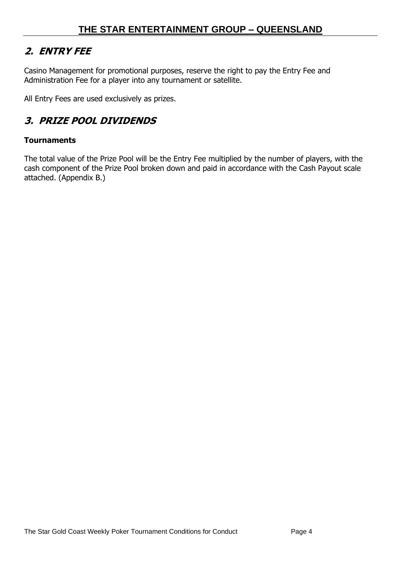# <span id="page-3-0"></span>**2. ENTRY FEE**

Casino Management for promotional purposes, reserve the right to pay the Entry Fee and Administration Fee for a player into any tournament or satellite.

All Entry Fees are used exclusively as prizes.

# <span id="page-3-1"></span>**3. PRIZE POOL DIVIDENDS**

#### **Tournaments**

The total value of the Prize Pool will be the Entry Fee multiplied by the number of players, with the cash component of the Prize Pool broken down and paid in accordance with the Cash Payout scale attached. (Appendix B.)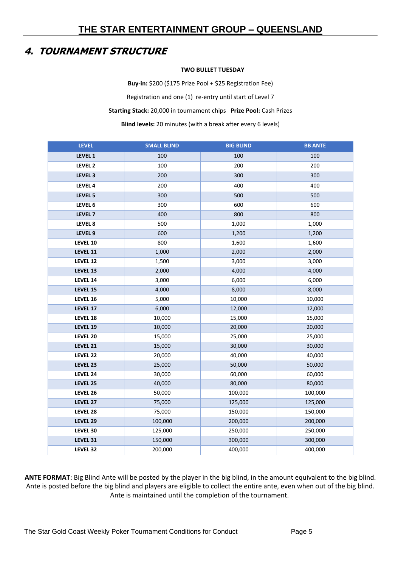# <span id="page-4-0"></span>**4. TOURNAMENT STRUCTURE**

#### **TWO BULLET TUESDAY**

**Buy-in:** \$200 (\$175 Prize Pool + \$25 Registration Fee) Registration and one (1) re-entry until start of Level 7 **Starting Stack:** 20,000 in tournament chips **Prize Pool:** Cash Prizes **Blind levels:** 20 minutes (with a break after every 6 levels)

| <b>LEVEL</b>       | <b>SMALL BLIND</b> | <b>BIG BLIND</b> | <b>BB ANTE</b> |
|--------------------|--------------------|------------------|----------------|
| LEVEL 1            | 100                | 100              | 100            |
| LEVEL 2            | 100                | 200              | 200            |
| LEVEL 3            | 200                | 300              | 300            |
| LEVEL 4            | 200                | 400              | 400            |
| LEVEL 5            | 300                | 500              | 500            |
| LEVEL 6            | 300                | 600              | 600            |
| LEVEL <sub>7</sub> | 400                | 800              | 800            |
| LEVEL 8            | 500                | 1,000            | 1,000          |
| LEVEL 9            | 600                | 1,200            | 1,200          |
| LEVEL 10           | 800                | 1,600            | 1,600          |
| LEVEL 11           | 1,000              | 2,000            | 2,000          |
| LEVEL 12           | 1,500              | 3,000            | 3,000          |
| LEVEL 13           | 2,000              | 4,000            | 4,000          |
| LEVEL 14           | 3,000              | 6,000            | 6,000          |
| LEVEL 15           | 4,000              | 8,000            | 8,000          |
| LEVEL 16           | 5,000              | 10,000           | 10,000         |
| LEVEL 17           | 6,000              | 12,000           | 12,000         |
| LEVEL 18           | 10,000             | 15,000           | 15,000         |
| LEVEL 19           | 10,000             | 20,000           | 20,000         |
| LEVEL 20           | 15,000             | 25,000           | 25,000         |
| LEVEL 21           | 15,000             | 30,000           | 30,000         |
| LEVEL 22           | 20,000             | 40,000           | 40,000         |
| LEVEL 23           | 25,000             | 50,000           | 50,000         |
| LEVEL 24           | 30,000             | 60,000           | 60,000         |
| LEVEL 25           | 40,000             | 80,000           | 80,000         |
| LEVEL 26           | 50,000             | 100,000          | 100,000        |
| LEVEL 27           | 75,000             | 125,000          | 125,000        |
| LEVEL 28           | 75,000             | 150,000          | 150,000        |
| LEVEL 29           | 100,000            | 200,000          | 200,000        |
| LEVEL 30           | 125,000            | 250,000          | 250,000        |
| LEVEL 31           | 150,000            | 300,000          | 300,000        |
| LEVEL 32           | 200,000            | 400,000          | 400,000        |

**ANTE FORMAT**: Big Blind Ante will be posted by the player in the big blind, in the amount equivalent to the big blind. Ante is posted before the big blind and players are eligible to collect the entire ante, even when out of the big blind. Ante is maintained until the completion of the tournament.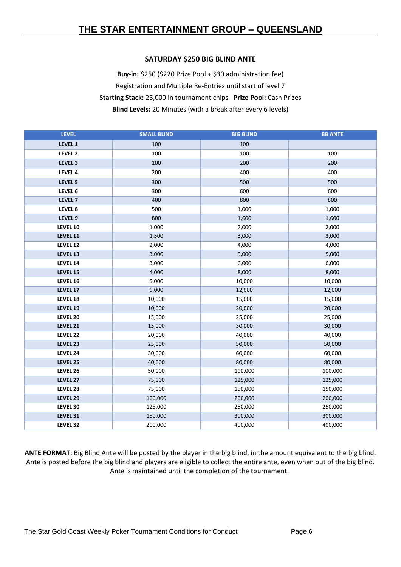#### **SATURDAY \$250 BIG BLIND ANTE**

**Buy-in:** \$250 (\$220 Prize Pool + \$30 administration fee) Registration and Multiple Re-Entries until start of level 7 **Starting Stack:** 25,000 in tournament chips **Prize Pool:** Cash Prizes **Blind Levels:** 20 Minutes (with a break after every 6 levels)

| <b>LEVEL</b>       | <b>SMALL BLIND</b> | <b>BIG BLIND</b> | <b>BB ANTE</b> |
|--------------------|--------------------|------------------|----------------|
| LEVEL 1            | 100                | 100              |                |
| LEVEL <sub>2</sub> | 100                | 100              | 100            |
| LEVEL 3            | 100                | 200              | 200            |
| LEVEL 4            | 200                | 400              | 400            |
| LEVEL 5            | 300                | 500              | 500            |
| LEVEL 6            | 300                | 600              | 600            |
| LEVEL <sub>7</sub> | 400                | 800              | 800            |
| LEVEL 8            | 500                | 1,000            | 1,000          |
| LEVEL 9            | 800                | 1,600            | 1,600          |
| LEVEL 10           | 1,000              | 2,000            | 2,000          |
| LEVEL 11           | 1,500              | 3,000            | 3,000          |
| LEVEL 12           | 2,000              | 4,000            | 4,000          |
| LEVEL 13           | 3,000              | 5,000            | 5,000          |
| LEVEL 14           | 3,000              | 6,000            | 6,000          |
| LEVEL 15           | 4,000              | 8,000            | 8,000          |
| LEVEL 16           | 5,000              | 10,000           | 10,000         |
| LEVEL 17           | 6,000              | 12,000           | 12,000         |
| LEVEL 18           | 10,000             | 15,000           | 15,000         |
| LEVEL 19           | 10,000             | 20,000           | 20,000         |
| LEVEL 20           | 15,000             | 25,000           | 25,000         |
| LEVEL 21           | 15,000             | 30,000           | 30,000         |
| LEVEL 22           | 20,000             | 40,000           | 40,000         |
| LEVEL 23           | 25,000             | 50,000           | 50,000         |
| LEVEL 24           | 30,000             | 60,000           | 60,000         |
| LEVEL 25           | 40,000             | 80,000           | 80,000         |
| LEVEL 26           | 50,000             | 100,000          | 100,000        |
| LEVEL 27           | 75,000             | 125,000          | 125,000        |
| LEVEL 28           | 75,000             | 150,000          | 150,000        |
| LEVEL 29           | 100,000            | 200,000          | 200,000        |
| LEVEL 30           | 125,000            | 250,000          | 250,000        |
| LEVEL 31           | 150,000            | 300,000          | 300,000        |
| LEVEL 32           | 200,000            | 400,000          | 400,000        |

**ANTE FORMAT**: Big Blind Ante will be posted by the player in the big blind, in the amount equivalent to the big blind. Ante is posted before the big blind and players are eligible to collect the entire ante, even when out of the big blind. Ante is maintained until the completion of the tournament.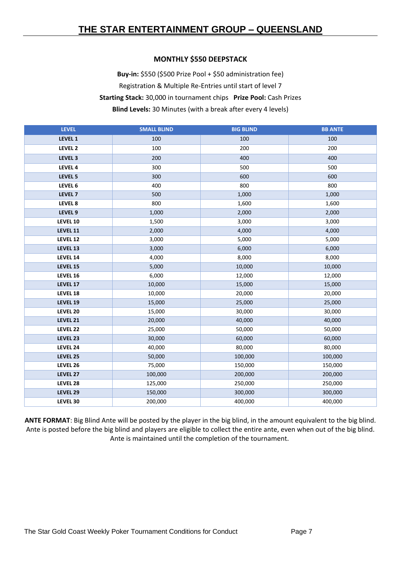#### **MONTHLY \$550 DEEPSTACK**

**Buy-in:** \$550 (\$500 Prize Pool + \$50 administration fee) Registration & Multiple Re-Entries until start of level 7 **Starting Stack:** 30,000 in tournament chips **Prize Pool:** Cash Prizes **Blind Levels:** 30 Minutes (with a break after every 4 levels)

| <b>LEVEL</b>       | <b>SMALL BLIND</b> | <b>BIG BLIND</b> | <b>BB ANTE</b> |
|--------------------|--------------------|------------------|----------------|
| LEVEL 1            | 100                | 100              | 100            |
| LEVEL 2            | 100                | 200              | 200            |
| LEVEL 3            | 200                | 400              | 400            |
| LEVEL 4            | 300                | 500              | 500            |
| LEVEL 5            | 300                | 600              | 600            |
| LEVEL 6            | 400                | 800              | 800            |
| LEVEL <sub>7</sub> | 500                | 1,000            | 1,000          |
| LEVEL 8            | 800                | 1,600            | 1,600          |
| LEVEL <sub>9</sub> | 1,000              | 2,000            | 2,000          |
| LEVEL 10           | 1,500              | 3,000            | 3,000          |
| LEVEL 11           | 2,000              | 4,000            | 4,000          |
| LEVEL 12           | 3,000              | 5,000            | 5,000          |
| LEVEL 13           | 3,000              | 6,000            | 6,000          |
| LEVEL 14           | 4,000              | 8,000            | 8,000          |
| LEVEL 15           | 5,000              | 10,000           | 10,000         |
| LEVEL 16           | 6,000              | 12,000           | 12,000         |
| LEVEL 17           | 10,000             | 15,000           | 15,000         |
| LEVEL 18           | 10,000             | 20,000           | 20,000         |
| LEVEL 19           | 15,000             | 25,000           | 25,000         |
| LEVEL 20           | 15,000             | 30,000           | 30,000         |
| LEVEL 21           | 20,000             | 40,000           | 40,000         |
| LEVEL 22           | 25,000             | 50,000           | 50,000         |
| LEVEL 23           | 30,000             | 60,000           | 60,000         |
| LEVEL 24           | 40,000             | 80,000           | 80,000         |
| LEVEL 25           | 50,000             | 100,000          | 100,000        |
| LEVEL 26           | 75,000             | 150,000          | 150,000        |
| LEVEL 27           | 100,000            | 200,000          | 200,000        |
| LEVEL 28           | 125,000            | 250,000          | 250,000        |
| LEVEL 29           | 150,000            | 300,000          | 300,000        |
| LEVEL 30           | 200,000            | 400,000          | 400,000        |

**ANTE FORMAT**: Big Blind Ante will be posted by the player in the big blind, in the amount equivalent to the big blind. Ante is posted before the big blind and players are eligible to collect the entire ante, even when out of the big blind. Ante is maintained until the completion of the tournament.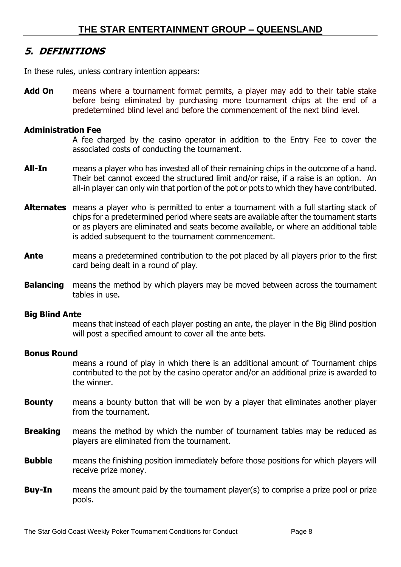# <span id="page-7-0"></span>**5. DEFINITIONS**

In these rules, unless contrary intention appears:

**Add On** means where a tournament format permits, a player may add to their table stake before being eliminated by purchasing more tournament chips at the end of a predetermined blind level and before the commencement of the next blind level.

#### **Administration Fee**

A fee charged by the casino operator in addition to the Entry Fee to cover the associated costs of conducting the tournament.

- **All-In** means a player who has invested all of their remaining chips in the outcome of a hand. Their bet cannot exceed the structured limit and/or raise, if a raise is an option. An all-in player can only win that portion of the pot or pots to which they have contributed.
- **Alternates** means a player who is permitted to enter a tournament with a full starting stack of chips for a predetermined period where seats are available after the tournament starts or as players are eliminated and seats become available, or where an additional table is added subsequent to the tournament commencement.
- **Ante** means a predetermined contribution to the pot placed by all players prior to the first card being dealt in a round of play.
- **Balancing** means the method by which players may be moved between across the tournament tables in use.

#### **Big Blind Ante**

means that instead of each player posting an ante, the player in the Big Blind position will post a specified amount to cover all the ante bets.

#### **Bonus Round**

means a round of play in which there is an additional amount of Tournament chips contributed to the pot by the casino operator and/or an additional prize is awarded to the winner.

- **Bounty** means a bounty button that will be won by a player that eliminates another player from the tournament.
- **Breaking** means the method by which the number of tournament tables may be reduced as players are eliminated from the tournament.
- **Bubble** means the finishing position immediately before those positions for which players will receive prize money.
- **Buy-In** means the amount paid by the tournament player(s) to comprise a prize pool or prize pools.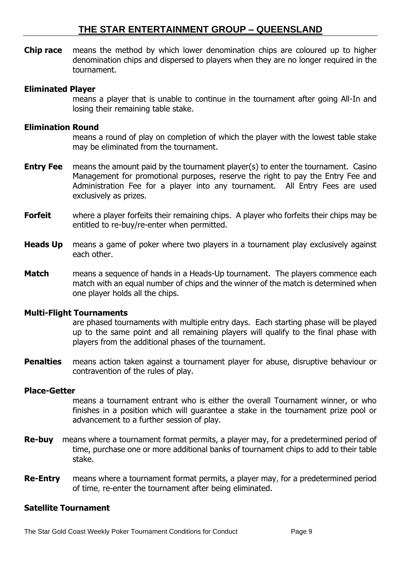**Chip race** means the method by which lower denomination chips are coloured up to higher denomination chips and dispersed to players when they are no longer required in the tournament.

#### **Eliminated Player**

means a player that is unable to continue in the tournament after going All-In and losing their remaining table stake.

#### **Elimination Round**

means a round of play on completion of which the player with the lowest table stake may be eliminated from the tournament.

- **Entry Fee** means the amount paid by the tournament player(s) to enter the tournament. Casino Management for promotional purposes, reserve the right to pay the Entry Fee and Administration Fee for a player into any tournament. All Entry Fees are used exclusively as prizes.
- **Forfeit** where a player forfeits their remaining chips. A player who forfeits their chips may be entitled to re-buy/re-enter when permitted.
- **Heads Up** means a game of poker where two players in a tournament play exclusively against each other.
- **Match means a sequence of hands in a Heads-Up tournament.** The players commence each match with an equal number of chips and the winner of the match is determined when one player holds all the chips.

#### **Multi-Flight Tournaments**

are phased tournaments with multiple entry days. Each starting phase will be played up to the same point and all remaining players will qualify to the final phase with players from the additional phases of the tournament.

**Penalties** means action taken against a tournament player for abuse, disruptive behaviour or contravention of the rules of play.

#### **Place-Getter**

means a tournament entrant who is either the overall Tournament winner, or who finishes in a position which will guarantee a stake in the tournament prize pool or advancement to a further session of play.

- **Re-buy** means where a tournament format permits, a player may, for a predetermined period of time, purchase one or more additional banks of tournament chips to add to their table stake.
- **Re-Entry** means where a tournament format permits, a player may, for a predetermined period of time, re-enter the tournament after being eliminated.

#### **Satellite Tournament**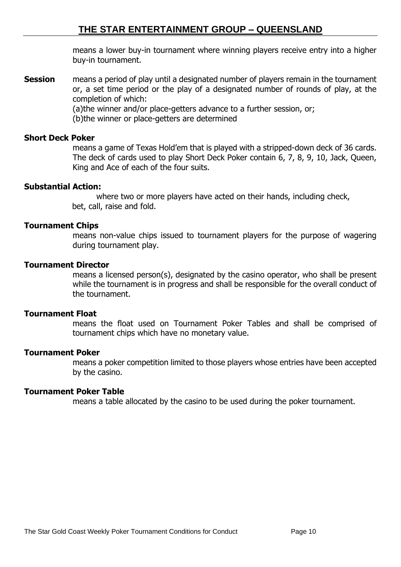means a lower buy-in tournament where winning players receive entry into a higher buy-in tournament.

**Session** means a period of play until a designated number of players remain in the tournament or, a set time period or the play of a designated number of rounds of play, at the completion of which:

(a)the winner and/or place-getters advance to a further session, or;

(b)the winner or place-getters are determined

#### **Short Deck Poker**

means a game of Texas Hold'em that is played with a stripped-down deck of 36 cards. The deck of cards used to play Short Deck Poker contain 6, 7, 8, 9, 10, Jack, Queen, King and Ace of each of the four suits.

#### **Substantial Action:**

 where two or more players have acted on their hands, including check, bet, call, raise and fold.

#### **Tournament Chips**

means non-value chips issued to tournament players for the purpose of wagering during tournament play.

#### **Tournament Director**

means a licensed person(s), designated by the casino operator, who shall be present while the tournament is in progress and shall be responsible for the overall conduct of the tournament.

#### **Tournament Float**

means the float used on Tournament Poker Tables and shall be comprised of tournament chips which have no monetary value.

#### **Tournament Poker**

means a poker competition limited to those players whose entries have been accepted by the casino.

#### **Tournament Poker Table**

means a table allocated by the casino to be used during the poker tournament.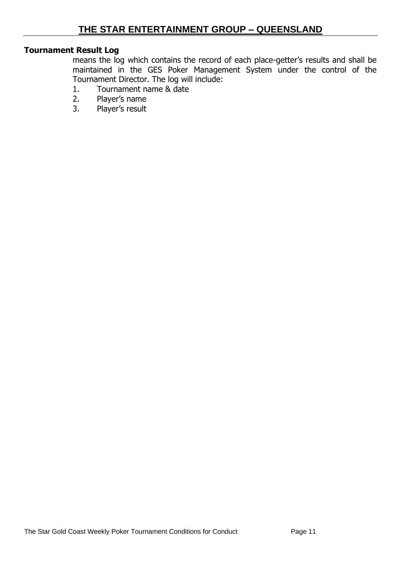### **Tournament Result Log**

means the log which contains the record of each place-getter's results and shall be maintained in the GES Poker Management System under the control of the Tournament Director. The log will include:

- 1. Tournament name & date
- 2. Player's name
- 3. Player's result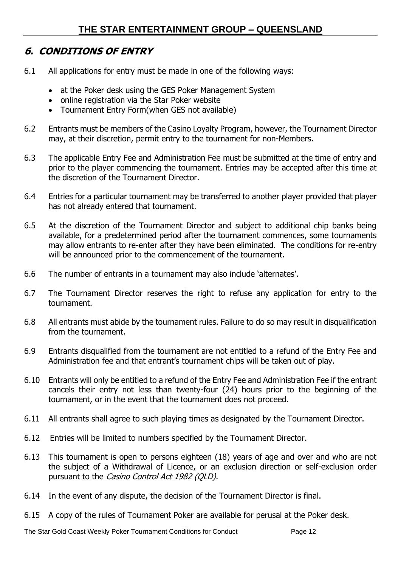# <span id="page-11-0"></span>**6. CONDITIONS OF ENTRY**

- 6.1 All applications for entry must be made in one of the following ways:
	- at the Poker desk using the GES Poker Management System
	- online registration via the Star Poker website
	- Tournament Entry Form(when GES not available)
- 6.2 Entrants must be members of the Casino Loyalty Program, however, the Tournament Director may, at their discretion, permit entry to the tournament for non-Members.
- 6.3 The applicable Entry Fee and Administration Fee must be submitted at the time of entry and prior to the player commencing the tournament. Entries may be accepted after this time at the discretion of the Tournament Director.
- 6.4 Entries for a particular tournament may be transferred to another player provided that player has not already entered that tournament.
- 6.5 At the discretion of the Tournament Director and subject to additional chip banks being available, for a predetermined period after the tournament commences, some tournaments may allow entrants to re-enter after they have been eliminated. The conditions for re-entry will be announced prior to the commencement of the tournament.
- 6.6 The number of entrants in a tournament may also include 'alternates'.
- 6.7 The Tournament Director reserves the right to refuse any application for entry to the tournament.
- 6.8 All entrants must abide by the tournament rules. Failure to do so may result in disqualification from the tournament.
- 6.9 Entrants disqualified from the tournament are not entitled to a refund of the Entry Fee and Administration fee and that entrant's tournament chips will be taken out of play.
- 6.10 Entrants will only be entitled to a refund of the Entry Fee and Administration Fee if the entrant cancels their entry not less than twenty-four (24) hours prior to the beginning of the tournament, or in the event that the tournament does not proceed.
- 6.11 All entrants shall agree to such playing times as designated by the Tournament Director.
- 6.12 Entries will be limited to numbers specified by the Tournament Director.
- 6.13 This tournament is open to persons eighteen (18) years of age and over and who are not the subject of a Withdrawal of Licence, or an exclusion direction or self-exclusion order pursuant to the Casino Control Act 1982 (QLD).
- 6.14 In the event of any dispute, the decision of the Tournament Director is final.
- 6.15 A copy of the rules of Tournament Poker are available for perusal at the Poker desk.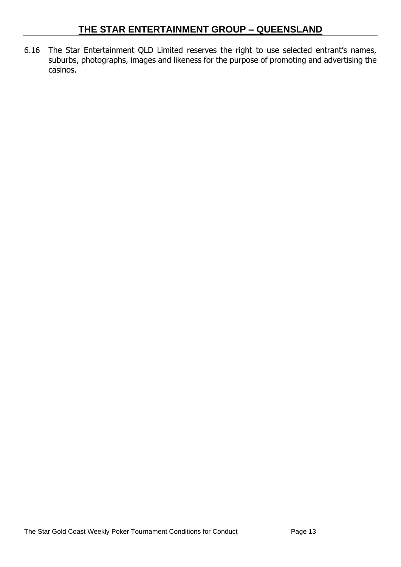6.16 The Star Entertainment QLD Limited reserves the right to use selected entrant's names, suburbs, photographs, images and likeness for the purpose of promoting and advertising the casinos.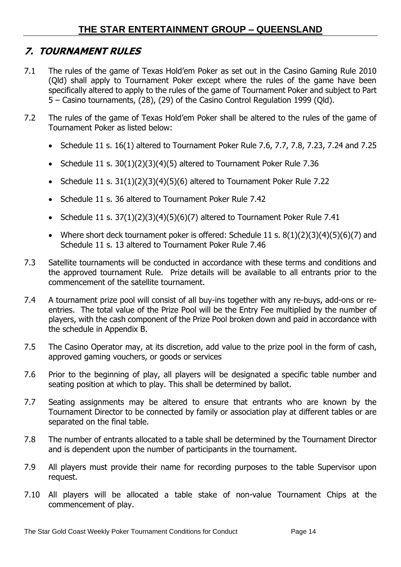# <span id="page-13-0"></span>**7. TOURNAMENT RULES**

- 7.1 The rules of the game of Texas Hold'em Poker as set out in the Casino Gaming Rule 2010 (Qld) shall apply to Tournament Poker except where the rules of the game have been specifically altered to apply to the rules of the game of Tournament Poker and subject to Part 5 – Casino tournaments, (28), (29) of the Casino Control Regulation 1999 (Qld).
- 7.2 The rules of the game of Texas Hold'em Poker shall be altered to the rules of the game of Tournament Poker as listed below:
	- Schedule 11 s. 16(1) altered to Tournament Poker Rule 7.6, 7.7, 7.8, 7.23, 7.24 and 7.25
	- Schedule 11 s. 30(1)(2)(3)(4)(5) altered to Tournament Poker Rule 7.36
	- Schedule 11 s.  $31(1)(2)(3)(4)(5)(6)$  altered to Tournament Poker Rule 7.22
	- Schedule 11 s. 36 altered to Tournament Poker Rule 7.42
	- Schedule 11 s.  $37(1)(2)(3)(4)(5)(6)(7)$  altered to Tournament Poker Rule 7.41
	- Where short deck tournament poker is offered: Schedule 11 s.  $8(1)(2)(3)(4)(5)(6)(7)$  and Schedule 11 s. 13 altered to Tournament Poker Rule 7.46
- 7.3 Satellite tournaments will be conducted in accordance with these terms and conditions and the approved tournament Rule. Prize details will be available to all entrants prior to the commencement of the satellite tournament.
- 7.4 A tournament prize pool will consist of all buy-ins together with any re-buys, add-ons or reentries. The total value of the Prize Pool will be the Entry Fee multiplied by the number of players, with the cash component of the Prize Pool broken down and paid in accordance with the schedule in Appendix B.
- 7.5 The Casino Operator may, at its discretion, add value to the prize pool in the form of cash, approved gaming vouchers, or goods or services
- 7.6 Prior to the beginning of play, all players will be designated a specific table number and seating position at which to play. This shall be determined by ballot.
- 7.7 Seating assignments may be altered to ensure that entrants who are known by the Tournament Director to be connected by family or association play at different tables or are separated on the final table.
- 7.8 The number of entrants allocated to a table shall be determined by the Tournament Director and is dependent upon the number of participants in the tournament.
- 7.9 All players must provide their name for recording purposes to the table Supervisor upon request.
- 7.10 All players will be allocated a table stake of non-value Tournament Chips at the commencement of play.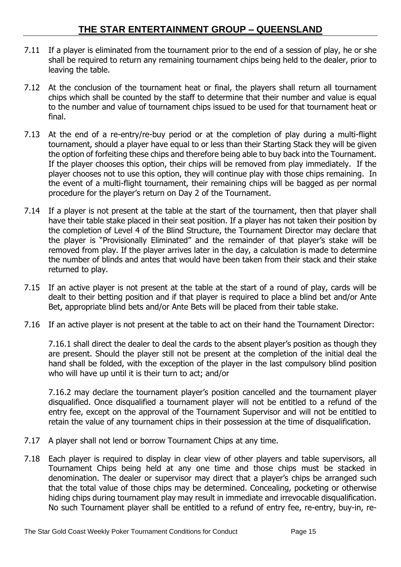- 7.11 If a player is eliminated from the tournament prior to the end of a session of play, he or she shall be required to return any remaining tournament chips being held to the dealer, prior to leaving the table.
- 7.12 At the conclusion of the tournament heat or final, the players shall return all tournament chips which shall be counted by the staff to determine that their number and value is equal to the number and value of tournament chips issued to be used for that tournament heat or final.
- 7.13 At the end of a re-entry/re-buy period or at the completion of play during a multi-flight tournament, should a player have equal to or less than their Starting Stack they will be given the option of forfeiting these chips and therefore being able to buy back into the Tournament. If the player chooses this option, their chips will be removed from play immediately. If the player chooses not to use this option, they will continue play with those chips remaining. In the event of a multi-flight tournament, their remaining chips will be bagged as per normal procedure for the player's return on Day 2 of the Tournament.
- 7.14 If a player is not present at the table at the start of the tournament, then that player shall have their table stake placed in their seat position. If a player has not taken their position by the completion of Level 4 of the Blind Structure, the Tournament Director may declare that the player is "Provisionally Eliminated" and the remainder of that player's stake will be removed from play. If the player arrives later in the day, a calculation is made to determine the number of blinds and antes that would have been taken from their stack and their stake returned to play.
- 7.15 If an active player is not present at the table at the start of a round of play, cards will be dealt to their betting position and if that player is required to place a blind bet and/or Ante Bet, appropriate blind bets and/or Ante Bets will be placed from their table stake.
- 7.16 If an active player is not present at the table to act on their hand the Tournament Director:

7.16.1 shall direct the dealer to deal the cards to the absent player's position as though they are present. Should the player still not be present at the completion of the initial deal the hand shall be folded, with the exception of the player in the last compulsory blind position who will have up until it is their turn to act; and/or

7.16.2 may declare the tournament player's position cancelled and the tournament player disqualified. Once disqualified a tournament player will not be entitled to a refund of the entry fee, except on the approval of the Tournament Supervisor and will not be entitled to retain the value of any tournament chips in their possession at the time of disqualification.

- 7.17 A player shall not lend or borrow Tournament Chips at any time.
- 7.18 Each player is required to display in clear view of other players and table supervisors, all Tournament Chips being held at any one time and those chips must be stacked in denomination. The dealer or supervisor may direct that a player's chips be arranged such that the total value of those chips may be determined. Concealing, pocketing or otherwise hiding chips during tournament play may result in immediate and irrevocable disqualification. No such Tournament player shall be entitled to a refund of entry fee, re-entry, buy-in, re-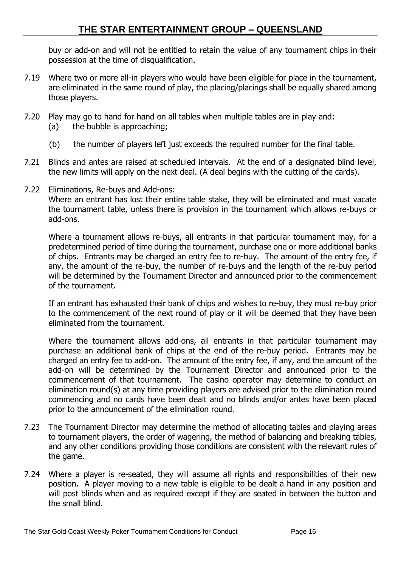buy or add-on and will not be entitled to retain the value of any tournament chips in their possession at the time of disqualification.

- 7.19 Where two or more all-in players who would have been eligible for place in the tournament, are eliminated in the same round of play, the placing/placings shall be equally shared among those players.
- 7.20 Play may go to hand for hand on all tables when multiple tables are in play and: (a) the bubble is approaching;
	- (b) the number of players left just exceeds the required number for the final table.
- 7.21 Blinds and antes are raised at scheduled intervals. At the end of a designated blind level, the new limits will apply on the next deal. (A deal begins with the cutting of the cards).
- 7.22 Eliminations, Re-buys and Add-ons:

Where an entrant has lost their entire table stake, they will be eliminated and must vacate the tournament table, unless there is provision in the tournament which allows re-buys or add-ons.

Where a tournament allows re-buys, all entrants in that particular tournament may, for a predetermined period of time during the tournament, purchase one or more additional banks of chips. Entrants may be charged an entry fee to re-buy. The amount of the entry fee, if any, the amount of the re-buy, the number of re-buys and the length of the re-buy period will be determined by the Tournament Director and announced prior to the commencement of the tournament.

If an entrant has exhausted their bank of chips and wishes to re-buy, they must re-buy prior to the commencement of the next round of play or it will be deemed that they have been eliminated from the tournament.

Where the tournament allows add-ons, all entrants in that particular tournament may purchase an additional bank of chips at the end of the re-buy period. Entrants may be charged an entry fee to add-on. The amount of the entry fee, if any, and the amount of the add-on will be determined by the Tournament Director and announced prior to the commencement of that tournament. The casino operator may determine to conduct an elimination round(s) at any time providing players are advised prior to the elimination round commencing and no cards have been dealt and no blinds and/or antes have been placed prior to the announcement of the elimination round.

- 7.23 The Tournament Director may determine the method of allocating tables and playing areas to tournament players, the order of wagering, the method of balancing and breaking tables, and any other conditions providing those conditions are consistent with the relevant rules of the game.
- 7.24 Where a player is re-seated, they will assume all rights and responsibilities of their new position. A player moving to a new table is eligible to be dealt a hand in any position and will post blinds when and as required except if they are seated in between the button and the small blind.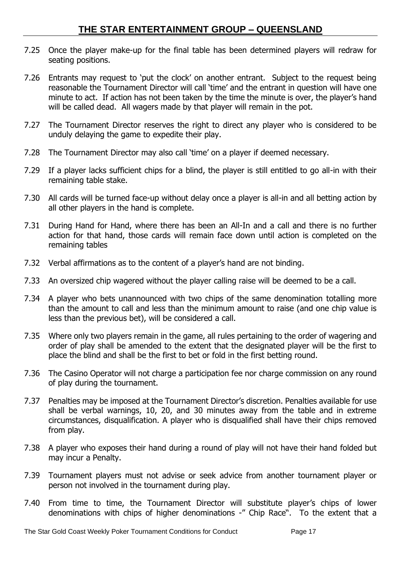- 7.25 Once the player make-up for the final table has been determined players will redraw for seating positions.
- 7.26 Entrants may request to 'put the clock' on another entrant. Subject to the request being reasonable the Tournament Director will call 'time' and the entrant in question will have one minute to act. If action has not been taken by the time the minute is over, the player's hand will be called dead. All wagers made by that player will remain in the pot.
- 7.27 The Tournament Director reserves the right to direct any player who is considered to be unduly delaying the game to expedite their play.
- 7.28 The Tournament Director may also call 'time' on a player if deemed necessary.
- 7.29 If a player lacks sufficient chips for a blind, the player is still entitled to go all-in with their remaining table stake.
- 7.30 All cards will be turned face-up without delay once a player is all-in and all betting action by all other players in the hand is complete.
- 7.31 During Hand for Hand, where there has been an All-In and a call and there is no further action for that hand, those cards will remain face down until action is completed on the remaining tables
- 7.32 Verbal affirmations as to the content of a player's hand are not binding.
- 7.33 An oversized chip wagered without the player calling raise will be deemed to be a call.
- 7.34 A player who bets unannounced with two chips of the same denomination totalling more than the amount to call and less than the minimum amount to raise (and one chip value is less than the previous bet), will be considered a call.
- 7.35 Where only two players remain in the game, all rules pertaining to the order of wagering and order of play shall be amended to the extent that the designated player will be the first to place the blind and shall be the first to bet or fold in the first betting round.
- 7.36 The Casino Operator will not charge a participation fee nor charge commission on any round of play during the tournament.
- 7.37 Penalties may be imposed at the Tournament Director's discretion. Penalties available for use shall be verbal warnings, 10, 20, and 30 minutes away from the table and in extreme circumstances, disqualification. A player who is disqualified shall have their chips removed from play.
- 7.38 A player who exposes their hand during a round of play will not have their hand folded but may incur a Penalty.
- 7.39 Tournament players must not advise or seek advice from another tournament player or person not involved in the tournament during play.
- 7.40 From time to time, the Tournament Director will substitute player's chips of lower denominations with chips of higher denominations -" Chip Race". To the extent that a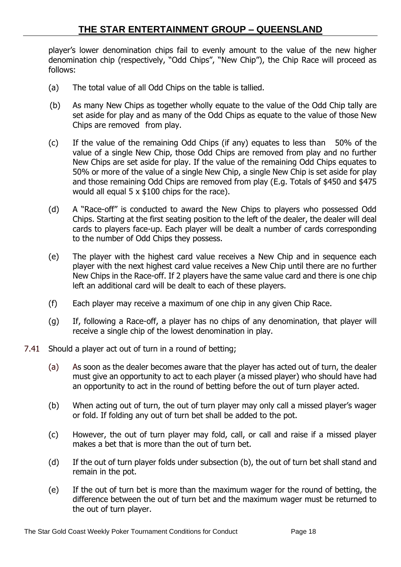player's lower denomination chips fail to evenly amount to the value of the new higher denomination chip (respectively, "Odd Chips", "New Chip"), the Chip Race will proceed as follows:

- (a) The total value of all Odd Chips on the table is tallied.
- (b) As many New Chips as together wholly equate to the value of the Odd Chip tally are set aside for play and as many of the Odd Chips as equate to the value of those New Chips are removed from play.
- (c) If the value of the remaining Odd Chips (if any) equates to less than 50% of the value of a single New Chip, those Odd Chips are removed from play and no further New Chips are set aside for play. If the value of the remaining Odd Chips equates to 50% or more of the value of a single New Chip, a single New Chip is set aside for play and those remaining Odd Chips are removed from play (E.g. Totals of \$450 and \$475 would all equal 5 x \$100 chips for the race).
- (d) A "Race-off" is conducted to award the New Chips to players who possessed Odd Chips. Starting at the first seating position to the left of the dealer, the dealer will deal cards to players face-up. Each player will be dealt a number of cards corresponding to the number of Odd Chips they possess.
- (e) The player with the highest card value receives a New Chip and in sequence each player with the next highest card value receives a New Chip until there are no further New Chips in the Race-off. If 2 players have the same value card and there is one chip left an additional card will be dealt to each of these players.
- (f) Each player may receive a maximum of one chip in any given Chip Race.
- (g) If, following a Race-off, a player has no chips of any denomination, that player will receive a single chip of the lowest denomination in play.
- 7.41 Should a player act out of turn in a round of betting;
	- (a) As soon as the dealer becomes aware that the player has acted out of turn, the dealer must give an opportunity to act to each player (a missed player) who should have had an opportunity to act in the round of betting before the out of turn player acted.
	- (b) When acting out of turn, the out of turn player may only call a missed player's wager or fold. If folding any out of turn bet shall be added to the pot.
	- (c) However, the out of turn player may fold, call, or call and raise if a missed player makes a bet that is more than the out of turn bet.
	- (d) If the out of turn player folds under subsection (b), the out of turn bet shall stand and remain in the pot.
	- (e) If the out of turn bet is more than the maximum wager for the round of betting, the difference between the out of turn bet and the maximum wager must be returned to the out of turn player.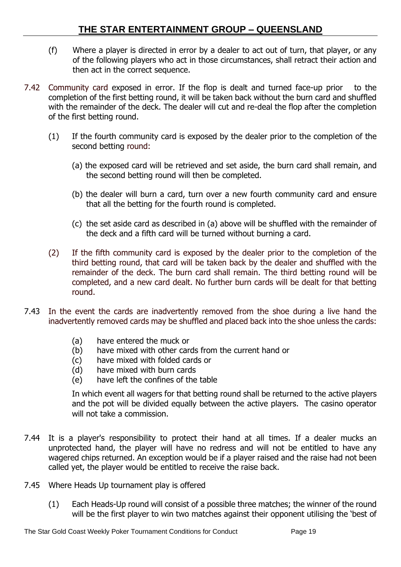- (f) Where a player is directed in error by a dealer to act out of turn, that player, or any of the following players who act in those circumstances, shall retract their action and then act in the correct sequence.
- 7.42 Community card exposed in error. If the flop is dealt and turned face-up prior to the completion of the first betting round, it will be taken back without the burn card and shuffled with the remainder of the deck. The dealer will cut and re-deal the flop after the completion of the first betting round.
	- (1) If the fourth community card is exposed by the dealer prior to the completion of the second betting round:
		- (a) the exposed card will be retrieved and set aside, the burn card shall remain, and the second betting round will then be completed.
		- (b) the dealer will burn a card, turn over a new fourth community card and ensure that all the betting for the fourth round is completed.
		- (c) the set aside card as described in (a) above will be shuffled with the remainder of the deck and a fifth card will be turned without burning a card.
	- (2) If the fifth community card is exposed by the dealer prior to the completion of the third betting round, that card will be taken back by the dealer and shuffled with the remainder of the deck. The burn card shall remain. The third betting round will be completed, and a new card dealt. No further burn cards will be dealt for that betting round.
- 7.43 In the event the cards are inadvertently removed from the shoe during a live hand the inadvertently removed cards may be shuffled and placed back into the shoe unless the cards:
	- (a) have entered the muck or
	- (b) have mixed with other cards from the current hand or
	- (c) have mixed with folded cards or
	- (d) have mixed with burn cards
	- (e) have left the confines of the table

In which event all wagers for that betting round shall be returned to the active players and the pot will be divided equally between the active players. The casino operator will not take a commission.

- 7.44 It is a player's responsibility to protect their hand at all times. If a dealer mucks an unprotected hand, the player will have no redress and will not be entitled to have any wagered chips returned. An exception would be if a player raised and the raise had not been called yet, the player would be entitled to receive the raise back.
- 7.45 Where Heads Up tournament play is offered
	- (1) Each Heads-Up round will consist of a possible three matches; the winner of the round will be the first player to win two matches against their opponent utilising the 'best of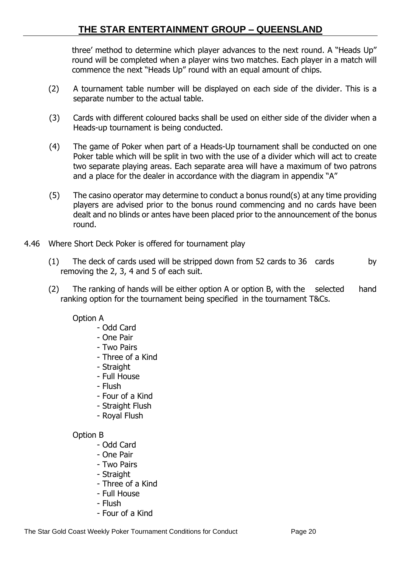three' method to determine which player advances to the next round. A "Heads Up" round will be completed when a player wins two matches. Each player in a match will commence the next "Heads Up" round with an equal amount of chips.

- (2) A tournament table number will be displayed on each side of the divider. This is a separate number to the actual table.
- (3) Cards with different coloured backs shall be used on either side of the divider when a Heads-up tournament is being conducted.
- (4) The game of Poker when part of a Heads-Up tournament shall be conducted on one Poker table which will be split in two with the use of a divider which will act to create two separate playing areas. Each separate area will have a maximum of two patrons and a place for the dealer in accordance with the diagram in appendix "A"
- (5) The casino operator may determine to conduct a bonus round(s) at any time providing players are advised prior to the bonus round commencing and no cards have been dealt and no blinds or antes have been placed prior to the announcement of the bonus round.
- 4.46 Where Short Deck Poker is offered for tournament play
	- (1) The deck of cards used will be stripped down from 52 cards to 36 cards by removing the 2, 3, 4 and 5 of each suit.
	- (2) The ranking of hands will be either option A or option B, with the selected hand ranking option for the tournament being specified in the tournament T&Cs.

#### Option A

- Odd Card
- One Pair
- Two Pairs
- Three of a Kind
- Straight
- Full House
- Flush
- Four of a Kind
- Straight Flush
- Royal Flush

#### Option B

- Odd Card
- One Pair
- Two Pairs
- Straight
- Three of a Kind
- Full House
- Flush
- Four of a Kind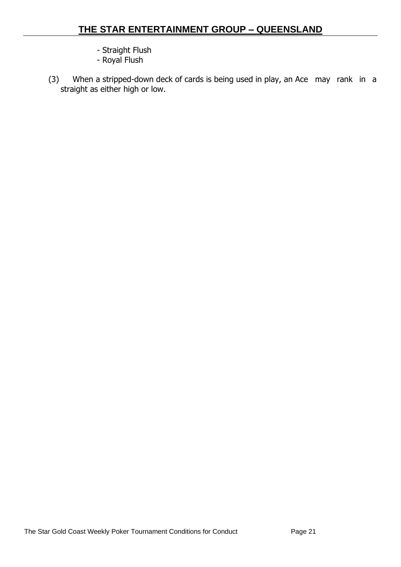- Straight Flush
- Royal Flush
- (3) When a stripped-down deck of cards is being used in play, an Ace may rank in a straight as either high or low.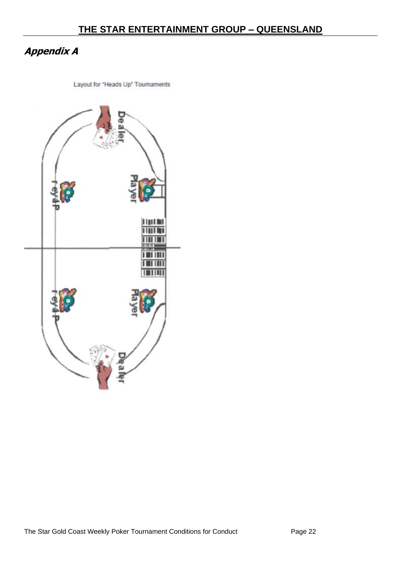# <span id="page-21-0"></span>**Appendix A**

Layout for "Heads Up" Tournaments